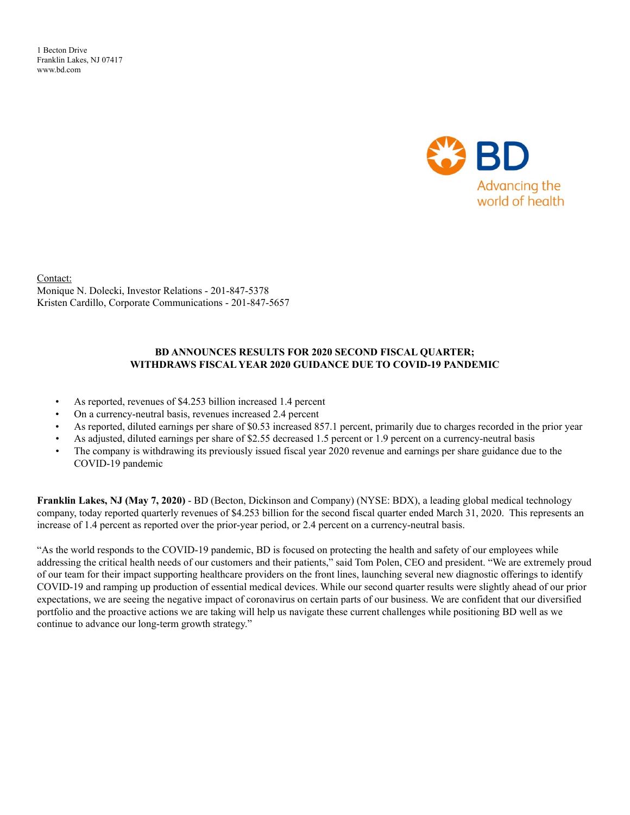1 Becton Drive Franklin Lakes, NJ 07417 www.bd.com



Contact: Monique N. Dolecki, Investor Relations - 201-847-5378 Kristen Cardillo, Corporate Communications - 201-847-5657

## **BD ANNOUNCES RESULTS FOR 2020 SECOND FISCAL QUARTER; WITHDRAWS FISCAL YEAR 2020 GUIDANCE DUE TO COVID-19 PANDEMIC**

- As reported, revenues of \$4.253 billion increased 1.4 percent
- On a currency-neutral basis, revenues increased 2.4 percent
- As reported, diluted earnings per share of \$0.53 increased 857.1 percent, primarily due to charges recorded in the prior year
- As adjusted, diluted earnings per share of \$2.55 decreased 1.5 percent or 1.9 percent on a currency-neutral basis
- The company is withdrawing its previously issued fiscal year 2020 revenue and earnings per share guidance due to the COVID-19 pandemic

**Franklin Lakes, NJ (May 7, 2020)** - BD (Becton, Dickinson and Company) (NYSE: BDX), a leading global medical technology company, today reported quarterly revenues of \$4.253 billion for the second fiscal quarter ended March 31, 2020. This represents an increase of 1.4 percent as reported over the prior-year period, or 2.4 percent on a currency-neutral basis.

"As the world responds to the COVID-19 pandemic, BD is focused on protecting the health and safety of our employees while addressing the critical health needs of our customers and their patients," said Tom Polen, CEO and president. "We are extremely proud of our team for their impact supporting healthcare providers on the front lines, launching several new diagnostic offerings to identify COVID-19 and ramping up production of essential medical devices. While our second quarter results were slightly ahead of our prior expectations, we are seeing the negative impact of coronavirus on certain parts of our business. We are confident that our diversified portfolio and the proactive actions we are taking will help us navigate these current challenges while positioning BD well as we continue to advance our long-term growth strategy."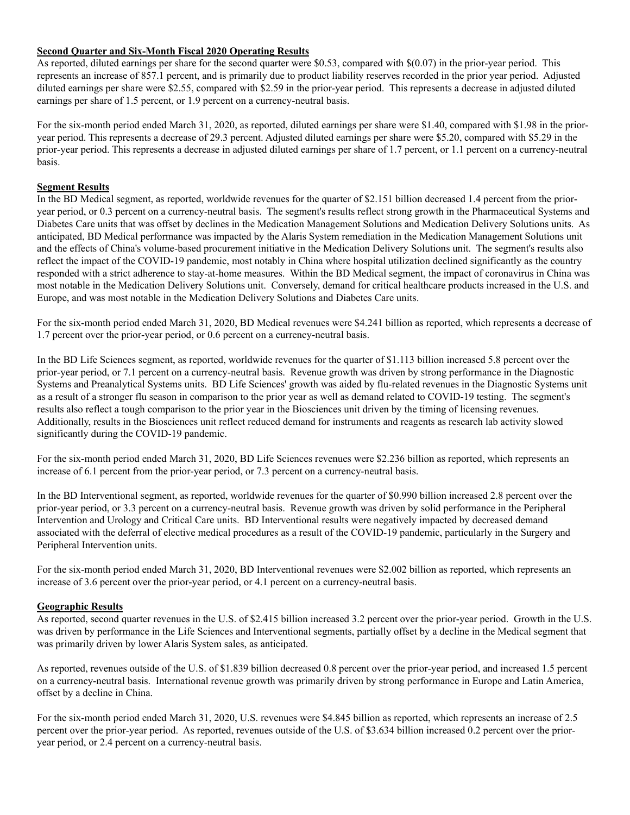## **Second Quarter and Six-Month Fiscal 2020 Operating Results**

As reported, diluted earnings per share for the second quarter were \$0.53, compared with \$(0.07) in the prior-year period. This represents an increase of 857.1 percent, and is primarily due to product liability reserves recorded in the prior year period. Adjusted diluted earnings per share were \$2.55, compared with \$2.59 in the prior-year period. This represents a decrease in adjusted diluted earnings per share of 1.5 percent, or 1.9 percent on a currency-neutral basis.

For the six-month period ended March 31, 2020, as reported, diluted earnings per share were \$1.40, compared with \$1.98 in the prioryear period. This represents a decrease of 29.3 percent. Adjusted diluted earnings per share were \$5.20, compared with \$5.29 in the prior-year period. This represents a decrease in adjusted diluted earnings per share of 1.7 percent, or 1.1 percent on a currency-neutral basis.

## **Segment Results**

In the BD Medical segment, as reported, worldwide revenues for the quarter of \$2.151 billion decreased 1.4 percent from the prioryear period, or 0.3 percent on a currency-neutral basis. The segment's results reflect strong growth in the Pharmaceutical Systems and Diabetes Care units that was offset by declines in the Medication Management Solutions and Medication Delivery Solutions units. As anticipated, BD Medical performance was impacted by the Alaris System remediation in the Medication Management Solutions unit and the effects of China's volume-based procurement initiative in the Medication Delivery Solutions unit. The segment's results also reflect the impact of the COVID-19 pandemic, most notably in China where hospital utilization declined significantly as the country responded with a strict adherence to stay-at-home measures. Within the BD Medical segment, the impact of coronavirus in China was most notable in the Medication Delivery Solutions unit. Conversely, demand for critical healthcare products increased in the U.S. and Europe, and was most notable in the Medication Delivery Solutions and Diabetes Care units.

For the six-month period ended March 31, 2020, BD Medical revenues were \$4.241 billion as reported, which represents a decrease of 1.7 percent over the prior-year period, or 0.6 percent on a currency-neutral basis.

In the BD Life Sciences segment, as reported, worldwide revenues for the quarter of \$1.113 billion increased 5.8 percent over the prior-year period, or 7.1 percent on a currency-neutral basis. Revenue growth was driven by strong performance in the Diagnostic Systems and Preanalytical Systems units. BD Life Sciences' growth was aided by flu-related revenues in the Diagnostic Systems unit as a result of a stronger flu season in comparison to the prior year as well as demand related to COVID-19 testing. The segment's results also reflect a tough comparison to the prior year in the Biosciences unit driven by the timing of licensing revenues. Additionally, results in the Biosciences unit reflect reduced demand for instruments and reagents as research lab activity slowed significantly during the COVID-19 pandemic.

For the six-month period ended March 31, 2020, BD Life Sciences revenues were \$2.236 billion as reported, which represents an increase of 6.1 percent from the prior-year period, or 7.3 percent on a currency-neutral basis.

In the BD Interventional segment, as reported, worldwide revenues for the quarter of \$0.990 billion increased 2.8 percent over the prior-year period, or 3.3 percent on a currency-neutral basis. Revenue growth was driven by solid performance in the Peripheral Intervention and Urology and Critical Care units. BD Interventional results were negatively impacted by decreased demand associated with the deferral of elective medical procedures as a result of the COVID-19 pandemic, particularly in the Surgery and Peripheral Intervention units.

For the six-month period ended March 31, 2020, BD Interventional revenues were \$2.002 billion as reported, which represents an increase of 3.6 percent over the prior-year period, or 4.1 percent on a currency-neutral basis.

### **Geographic Results**

As reported, second quarter revenues in the U.S. of \$2.415 billion increased 3.2 percent over the prior-year period. Growth in the U.S. was driven by performance in the Life Sciences and Interventional segments, partially offset by a decline in the Medical segment that was primarily driven by lower Alaris System sales, as anticipated.

As reported, revenues outside of the U.S. of \$1.839 billion decreased 0.8 percent over the prior-year period, and increased 1.5 percent on a currency-neutral basis. International revenue growth was primarily driven by strong performance in Europe and Latin America, offset by a decline in China.

For the six-month period ended March 31, 2020, U.S. revenues were \$4.845 billion as reported, which represents an increase of 2.5 percent over the prior-year period. As reported, revenues outside of the U.S. of \$3.634 billion increased 0.2 percent over the prioryear period, or 2.4 percent on a currency-neutral basis.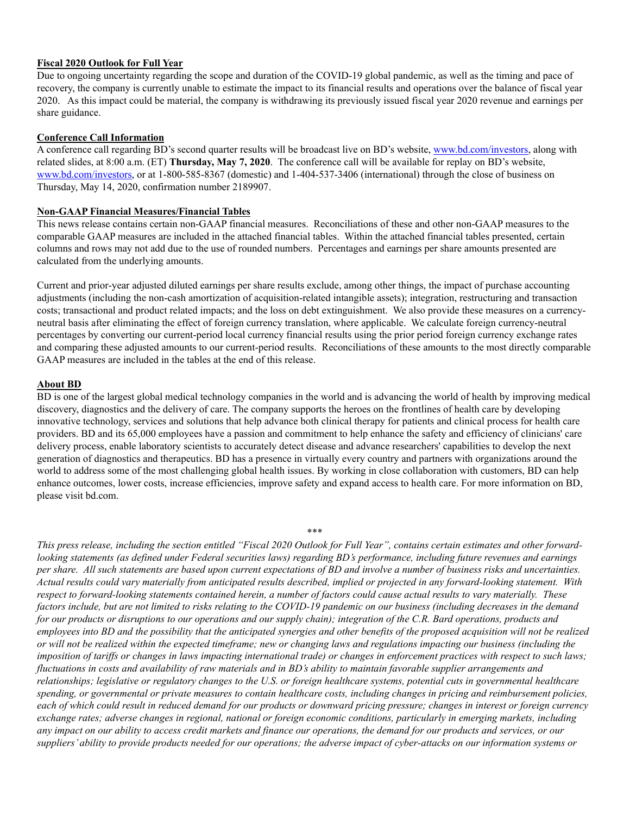### **Fiscal 2020 Outlook for Full Year**

Due to ongoing uncertainty regarding the scope and duration of the COVID-19 global pandemic, as well as the timing and pace of recovery, the company is currently unable to estimate the impact to its financial results and operations over the balance of fiscal year 2020. As this impact could be material, the company is withdrawing its previously issued fiscal year 2020 revenue and earnings per share guidance.

#### **Conference Call Information**

A conference call regarding BD's second quarter results will be broadcast live on BD's website, www.bd.com/investors, along with related slides, at 8:00 a.m. (ET) **Thursday, May 7, 2020**. The conference call will be available for replay on BD's website, www.bd.com/investors, or at 1-800-585-8367 (domestic) and 1-404-537-3406 (international) through the close of business on Thursday, May 14, 2020, confirmation number 2189907.

#### **Non-GAAP Financial Measures/Financial Tables**

This news release contains certain non-GAAP financial measures. Reconciliations of these and other non-GAAP measures to the comparable GAAP measures are included in the attached financial tables. Within the attached financial tables presented, certain columns and rows may not add due to the use of rounded numbers. Percentages and earnings per share amounts presented are calculated from the underlying amounts.

Current and prior-year adjusted diluted earnings per share results exclude, among other things, the impact of purchase accounting adjustments (including the non-cash amortization of acquisition-related intangible assets); integration, restructuring and transaction costs; transactional and product related impacts; and the loss on debt extinguishment. We also provide these measures on a currencyneutral basis after eliminating the effect of foreign currency translation, where applicable. We calculate foreign currency-neutral percentages by converting our current-period local currency financial results using the prior period foreign currency exchange rates and comparing these adjusted amounts to our current-period results. Reconciliations of these amounts to the most directly comparable GAAP measures are included in the tables at the end of this release.

#### **About BD**

BD is one of the largest global medical technology companies in the world and is advancing the world of health by improving medical discovery, diagnostics and the delivery of care. The company supports the heroes on the frontlines of health care by developing innovative technology, services and solutions that help advance both clinical therapy for patients and clinical process for health care providers. BD and its 65,000 employees have a passion and commitment to help enhance the safety and efficiency of clinicians' care delivery process, enable laboratory scientists to accurately detect disease and advance researchers' capabilities to develop the next generation of diagnostics and therapeutics. BD has a presence in virtually every country and partners with organizations around the world to address some of the most challenging global health issues. By working in close collaboration with customers, BD can help enhance outcomes, lower costs, increase efficiencies, improve safety and expand access to health care. For more information on BD, please visit bd.com.

\*\*\*

*This press release, including the section entitled "Fiscal 2020 Outlook for Full Year", contains certain estimates and other forwardlooking statements (as defined under Federal securities laws) regarding BD's performance, including future revenues and earnings per share. All such statements are based upon current expectations of BD and involve a number of business risks and uncertainties. Actual results could vary materially from anticipated results described, implied or projected in any forward-looking statement. With respect to forward-looking statements contained herein, a number of factors could cause actual results to vary materially. These factors include, but are not limited to risks relating to the COVID-19 pandemic on our business (including decreases in the demand for our products or disruptions to our operations and our supply chain); integration of the C.R. Bard operations, products and employees into BD and the possibility that the anticipated synergies and other benefits of the proposed acquisition will not be realized or will not be realized within the expected timeframe; new or changing laws and regulations impacting our business (including the imposition of tariffs or changes in laws impacting international trade) or changes in enforcement practices with respect to such laws; fluctuations in costs and availability of raw materials and in BD's ability to maintain favorable supplier arrangements and relationships; legislative or regulatory changes to the U.S. or foreign healthcare systems, potential cuts in governmental healthcare spending, or governmental or private measures to contain healthcare costs, including changes in pricing and reimbursement policies, each of which could result in reduced demand for our products or downward pricing pressure; changes in interest or foreign currency exchange rates; adverse changes in regional, national or foreign economic conditions, particularly in emerging markets, including any impact on our ability to access credit markets and finance our operations, the demand for our products and services, or our suppliers' ability to provide products needed for our operations; the adverse impact of cyber-attacks on our information systems or*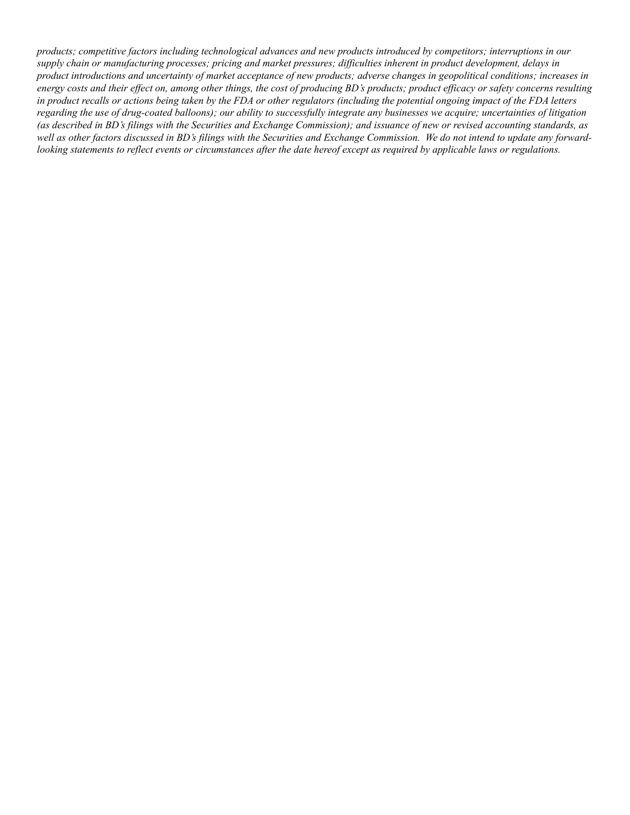*products; competitive factors including technological advances and new products introduced by competitors; interruptions in our supply chain or manufacturing processes; pricing and market pressures; difficulties inherent in product development, delays in product introductions and uncertainty of market acceptance of new products; adverse changes in geopolitical conditions; increases in energy costs and their effect on, among other things, the cost of producing BD's products; product efficacy or safety concerns resulting in product recalls or actions being taken by the FDA or other regulators (including the potential ongoing impact of the FDA letters regarding the use of drug-coated balloons); our ability to successfully integrate any businesses we acquire; uncertainties of litigation (as described in BD's filings with the Securities and Exchange Commission); and issuance of new or revised accounting standards, as well as other factors discussed in BD's filings with the Securities and Exchange Commission. We do not intend to update any forwardlooking statements to reflect events or circumstances after the date hereof except as required by applicable laws or regulations.*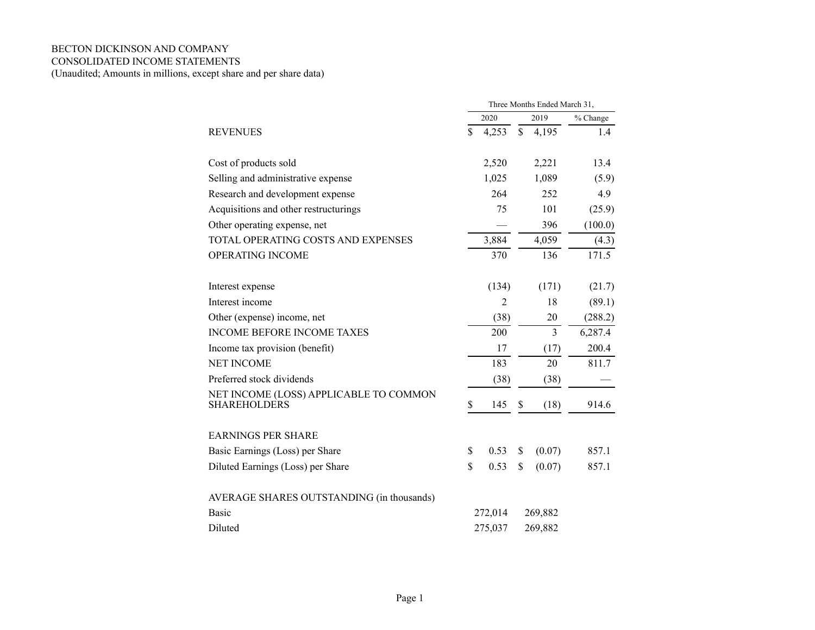# BECTON DICKINSON AND COMPANY CONSOLIDATED INCOME STATEMENTS (Unaudited; Amounts in millions, except share and per share data)

|                                                        |             |                | Three Months Ended March 31, |          |  |
|--------------------------------------------------------|-------------|----------------|------------------------------|----------|--|
|                                                        |             | 2020           | 2019                         | % Change |  |
| <b>REVENUES</b>                                        | $\mathbf S$ | 4,253          | \$<br>4,195                  | 1.4      |  |
| Cost of products sold                                  |             | 2,520          | 2,221                        | 13.4     |  |
| Selling and administrative expense                     |             | 1,025          | 1,089                        | (5.9)    |  |
| Research and development expense                       |             | 264            | 252                          | 4.9      |  |
| Acquisitions and other restructurings                  |             | 75             | 101                          | (25.9)   |  |
| Other operating expense, net                           |             |                | 396                          | (100.0)  |  |
| TOTAL OPERATING COSTS AND EXPENSES                     |             | 3,884          | 4,059                        | (4.3)    |  |
| <b>OPERATING INCOME</b>                                |             | 370            | 136                          | 171.5    |  |
| Interest expense                                       |             | (134)          | (171)                        | (21.7)   |  |
| Interest income                                        |             | $\overline{2}$ | 18                           | (89.1)   |  |
| Other (expense) income, net                            |             | (38)           | 20                           | (288.2)  |  |
| <b>INCOME BEFORE INCOME TAXES</b>                      |             | 200            | 3                            | 6,287.4  |  |
| Income tax provision (benefit)                         |             | 17             | (17)                         | 200.4    |  |
| <b>NET INCOME</b>                                      |             | 183            | 20                           | 811.7    |  |
| Preferred stock dividends                              |             | (38)           | (38)                         |          |  |
| NET INCOME (LOSS) APPLICABLE TO COMMON<br>SHAREHOLDERS | \$          | 145            | \$<br>(18)                   | 914.6    |  |
| <b>EARNINGS PER SHARE</b>                              |             |                |                              |          |  |
| Basic Earnings (Loss) per Share                        | \$          | 0.53           | \$<br>(0.07)                 | 857.1    |  |
| Diluted Earnings (Loss) per Share                      | \$          | 0.53           | \$<br>(0.07)                 | 857.1    |  |
| AVERAGE SHARES OUTSTANDING (in thousands)              |             |                |                              |          |  |
| <b>Basic</b>                                           |             | 272,014        | 269,882                      |          |  |
| Diluted                                                |             | 275,037        | 269,882                      |          |  |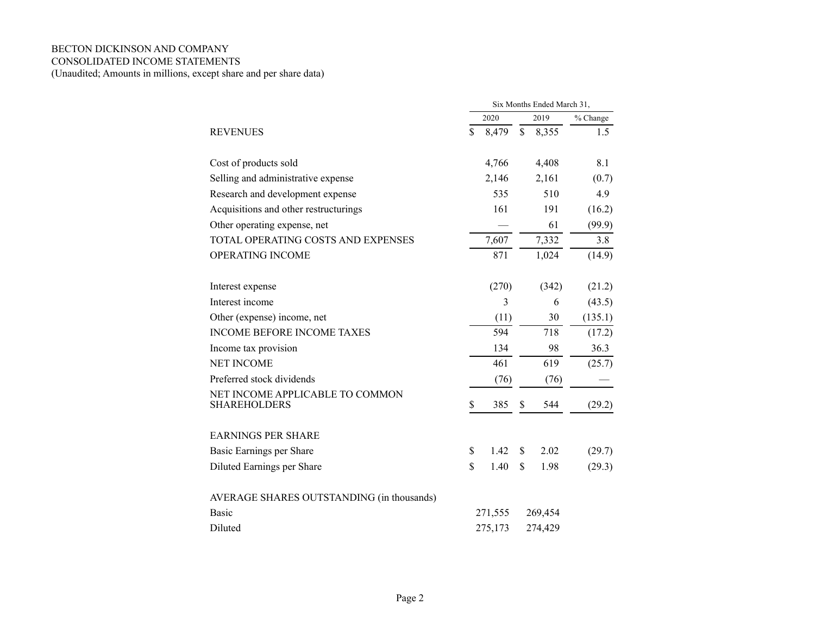|                                                        |             | Six Months Ended March 31, |         |          |  |
|--------------------------------------------------------|-------------|----------------------------|---------|----------|--|
|                                                        | 2020        |                            | 2019    | % Change |  |
| <b>REVENUES</b>                                        | \$<br>8,479 | $\mathbb{S}$               | 8,355   | 1.5      |  |
| Cost of products sold                                  | 4,766       |                            | 4,408   | 8.1      |  |
| Selling and administrative expense                     | 2,146       |                            | 2,161   | (0.7)    |  |
| Research and development expense                       | 535         |                            | 510     | 4.9      |  |
| Acquisitions and other restructurings                  | 161         |                            | 191     | (16.2)   |  |
| Other operating expense, net                           |             |                            | 61      | (99.9)   |  |
| TOTAL OPERATING COSTS AND EXPENSES                     | 7,607       |                            | 7,332   | 3.8      |  |
| OPERATING INCOME                                       | 871         |                            | 1,024   | (14.9)   |  |
| Interest expense                                       | (270)       |                            | (342)   | (21.2)   |  |
| Interest income                                        | 3           |                            | 6       | (43.5)   |  |
| Other (expense) income, net                            | (11)        |                            | 30      | (135.1)  |  |
| <b>INCOME BEFORE INCOME TAXES</b>                      | 594         |                            | 718     | (17.2)   |  |
| Income tax provision                                   | 134         |                            | 98      | 36.3     |  |
| <b>NET INCOME</b>                                      | 461         |                            | 619     | (25.7)   |  |
| Preferred stock dividends                              | (76)        |                            | (76)    |          |  |
| NET INCOME APPLICABLE TO COMMON<br><b>SHAREHOLDERS</b> | \$<br>385   | \$                         | 544     | (29.2)   |  |
| <b>EARNINGS PER SHARE</b>                              |             |                            |         |          |  |
| Basic Earnings per Share                               | \$<br>1.42  | \$                         | 2.02    | (29.7)   |  |
| Diluted Earnings per Share                             | \$<br>1.40  | \$                         | 1.98    | (29.3)   |  |
| AVERAGE SHARES OUTSTANDING (in thousands)              |             |                            |         |          |  |
| <b>Basic</b>                                           | 271,555     |                            | 269,454 |          |  |
| Diluted                                                | 275,173     |                            | 274,429 |          |  |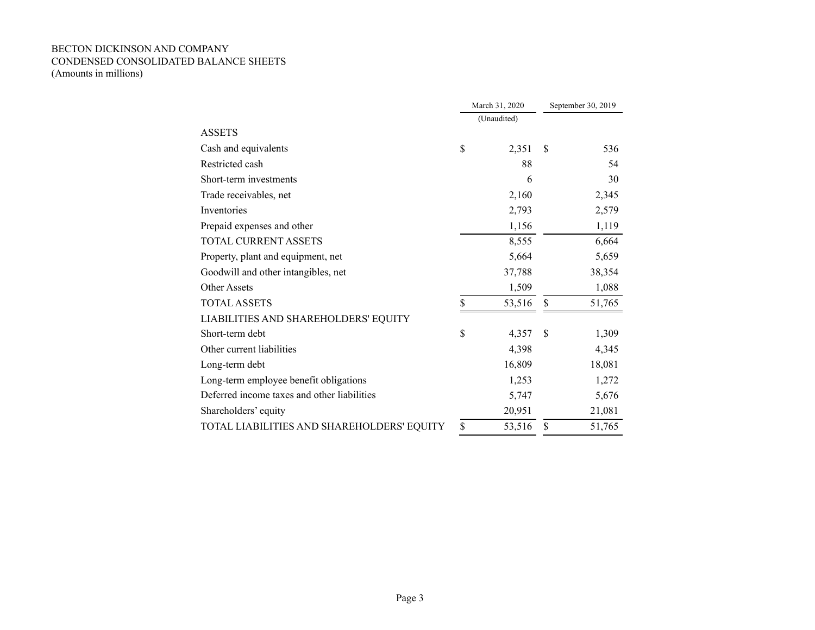# BECTON DICKINSON AND COMPANY CONDENSED CONSOLIDATED BALANCE SHEETS (Amounts in millions)

|                                             | March 31, 2020 |    | September 30, 2019 |
|---------------------------------------------|----------------|----|--------------------|
|                                             | (Unaudited)    |    |                    |
| <b>ASSETS</b>                               |                |    |                    |
| Cash and equivalents                        | \$<br>2,351    | S  | 536                |
| Restricted cash                             | 88             |    | 54                 |
| Short-term investments                      | 6              |    | 30                 |
| Trade receivables, net                      | 2,160          |    | 2,345              |
| Inventories                                 | 2,793          |    | 2,579              |
| Prepaid expenses and other                  | 1,156          |    | 1,119              |
| <b>TOTAL CURRENT ASSETS</b>                 | 8,555          |    | 6,664              |
| Property, plant and equipment, net          | 5,664          |    | 5,659              |
| Goodwill and other intangibles, net         | 37,788         |    | 38,354             |
| Other Assets                                | 1,509          |    | 1,088              |
| <b>TOTAL ASSETS</b>                         | \$<br>53,516   | \$ | 51,765             |
| LIABILITIES AND SHAREHOLDERS' EQUITY        |                |    |                    |
| Short-term debt                             | \$<br>4,357    | S  | 1,309              |
| Other current liabilities                   | 4,398          |    | 4,345              |
| Long-term debt                              | 16,809         |    | 18,081             |
| Long-term employee benefit obligations      | 1,253          |    | 1,272              |
| Deferred income taxes and other liabilities | 5,747          |    | 5,676              |
| Shareholders' equity                        | 20,951         |    | 21,081             |
| TOTAL LIABILITIES AND SHAREHOLDERS' EQUITY  | \$<br>53,516   | \$ | 51,765             |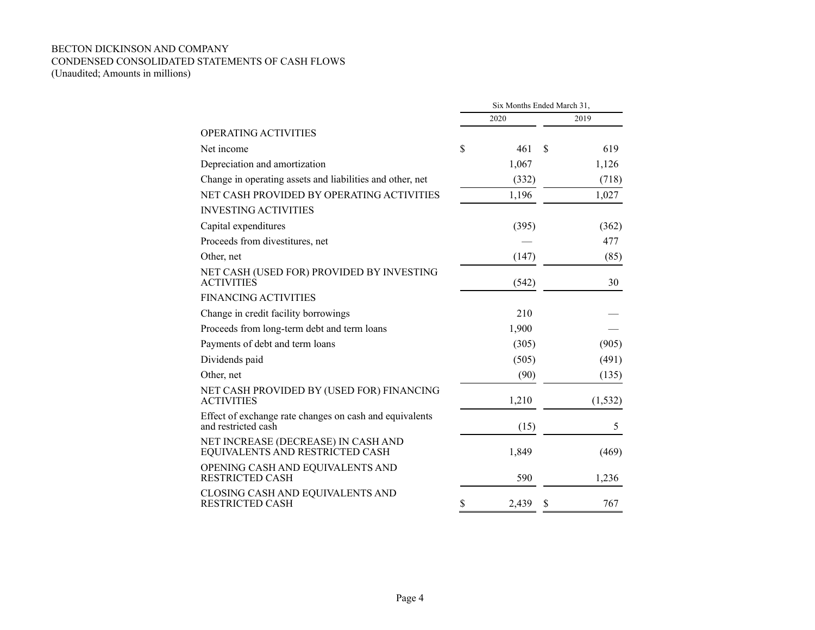# BECTON DICKINSON AND COMPANY CONDENSED CONSOLIDATED STATEMENTS OF CASH FLOWS (Unaudited; Amounts in millions)

|                                                                                | Six Months Ended March 31, |       |    |          |  |  |  |  |  |
|--------------------------------------------------------------------------------|----------------------------|-------|----|----------|--|--|--|--|--|
|                                                                                |                            | 2020  |    | 2019     |  |  |  |  |  |
| <b>OPERATING ACTIVITIES</b>                                                    |                            |       |    |          |  |  |  |  |  |
| Net income                                                                     | $\mathcal{S}$              | 461   | \$ | 619      |  |  |  |  |  |
| Depreciation and amortization                                                  |                            | 1,067 |    | 1,126    |  |  |  |  |  |
| Change in operating assets and liabilities and other, net                      |                            | (332) |    | (718)    |  |  |  |  |  |
| NET CASH PROVIDED BY OPERATING ACTIVITIES                                      |                            | 1,196 |    | 1,027    |  |  |  |  |  |
| <b>INVESTING ACTIVITIES</b>                                                    |                            |       |    |          |  |  |  |  |  |
| Capital expenditures                                                           |                            | (395) |    | (362)    |  |  |  |  |  |
| Proceeds from divestitures, net                                                |                            |       |    | 477      |  |  |  |  |  |
| Other, net                                                                     |                            | (147) |    | (85)     |  |  |  |  |  |
| NET CASH (USED FOR) PROVIDED BY INVESTING<br><b>ACTIVITIES</b>                 |                            | (542) |    | 30       |  |  |  |  |  |
| <b>FINANCING ACTIVITIES</b>                                                    |                            |       |    |          |  |  |  |  |  |
| Change in credit facility borrowings                                           |                            | 210   |    |          |  |  |  |  |  |
| Proceeds from long-term debt and term loans                                    |                            | 1,900 |    |          |  |  |  |  |  |
| Payments of debt and term loans                                                |                            | (305) |    | (905)    |  |  |  |  |  |
| Dividends paid                                                                 |                            | (505) |    | (491)    |  |  |  |  |  |
| Other, net                                                                     |                            | (90)  |    | (135)    |  |  |  |  |  |
| NET CASH PROVIDED BY (USED FOR) FINANCING<br><b>ACTIVITIES</b>                 |                            | 1,210 |    | (1, 532) |  |  |  |  |  |
| Effect of exchange rate changes on cash and equivalents<br>and restricted cash |                            | (15)  |    | 5        |  |  |  |  |  |
| NET INCREASE (DECREASE) IN CASH AND<br>EQUIVALENTS AND RESTRICTED CASH         |                            | 1,849 |    | (469)    |  |  |  |  |  |
| OPENING CASH AND EQUIVALENTS AND<br><b>RESTRICTED CASH</b>                     |                            | 590   |    | 1,236    |  |  |  |  |  |
| CLOSING CASH AND EQUIVALENTS AND<br><b>RESTRICTED CASH</b>                     | \$                         | 2,439 | \$ | 767      |  |  |  |  |  |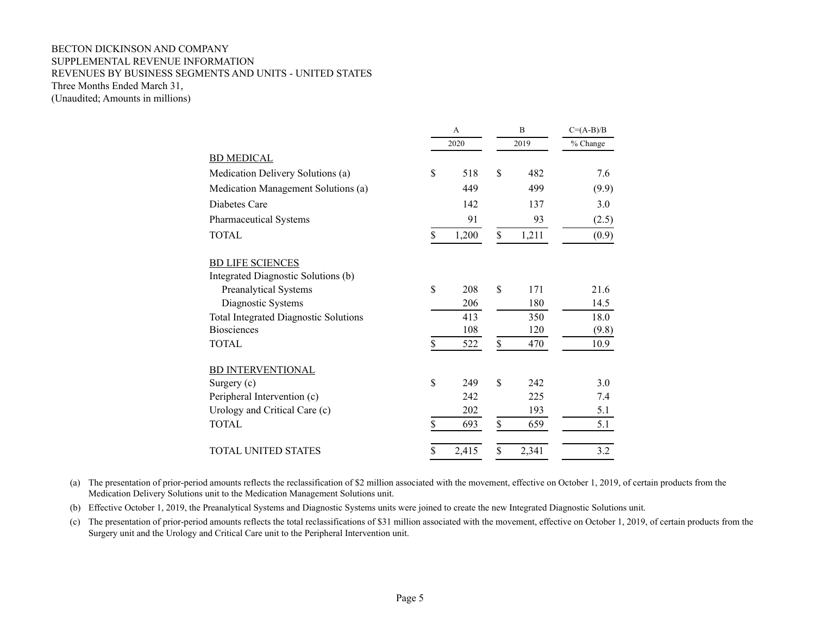### BECTON DICKINSON AND COMPANY SUPPLEMENTAL REVENUE INFORMATION REVENUES BY BUSINESS SEGMENTS AND UNITS - UNITED STATES Three Months Ended March 31, (Unaudited; Amounts in millions)

|                                       | A           |             | B     | $C=(A-B)/B$ |
|---------------------------------------|-------------|-------------|-------|-------------|
|                                       | 2020        |             | 2019  | % Change    |
| <b>BD MEDICAL</b>                     |             |             |       |             |
| Medication Delivery Solutions (a)     | \$<br>518   | \$          | 482   | 7.6         |
| Medication Management Solutions (a)   | 449         |             | 499   | (9.9)       |
| Diabetes Care                         | 142         |             | 137   | 3.0         |
| Pharmaceutical Systems                | 91          |             | 93    | (2.5)       |
| <b>TOTAL</b>                          | \$<br>1,200 | \$          | 1,211 | (0.9)       |
| <b>BD LIFE SCIENCES</b>               |             |             |       |             |
| Integrated Diagnostic Solutions (b)   |             |             |       |             |
| Preanalytical Systems                 | \$<br>208   | $\mathbf S$ | 171   | 21.6        |
| Diagnostic Systems                    | 206         |             | 180   | 14.5        |
| Total Integrated Diagnostic Solutions | 413         |             | 350   | 18.0        |
| <b>Biosciences</b>                    | 108         |             | 120   | (9.8)       |
| <b>TOTAL</b>                          | \$<br>522   | \$          | 470   | 10.9        |
| <b>BD INTERVENTIONAL</b>              |             |             |       |             |
| Surgery (c)                           | \$<br>249   | \$          | 242   | 3.0         |
| Peripheral Intervention (c)           | 242         |             | 225   | 7.4         |
| Urology and Critical Care (c)         | 202         |             | 193   | 5.1         |
| <b>TOTAL</b>                          | \$<br>693   | \$          | 659   | 5.1         |
| TOTAL UNITED STATES                   | \$<br>2,415 | \$          | 2,341 | 3.2         |

(a) The presentation of prior-period amounts reflects the reclassification of \$2 million associated with the movement, effective on October 1, 2019, of certain products from the Medication Delivery Solutions unit to the Medication Management Solutions unit.

(b) Effective October 1, 2019, the Preanalytical Systems and Diagnostic Systems units were joined to create the new Integrated Diagnostic Solutions unit.

(c) The presentation of prior-period amounts reflects the total reclassifications of \$31 million associated with the movement, effective on October 1, 2019, of certain products from the Surgery unit and the Urology and Critical Care unit to the Peripheral Intervention unit.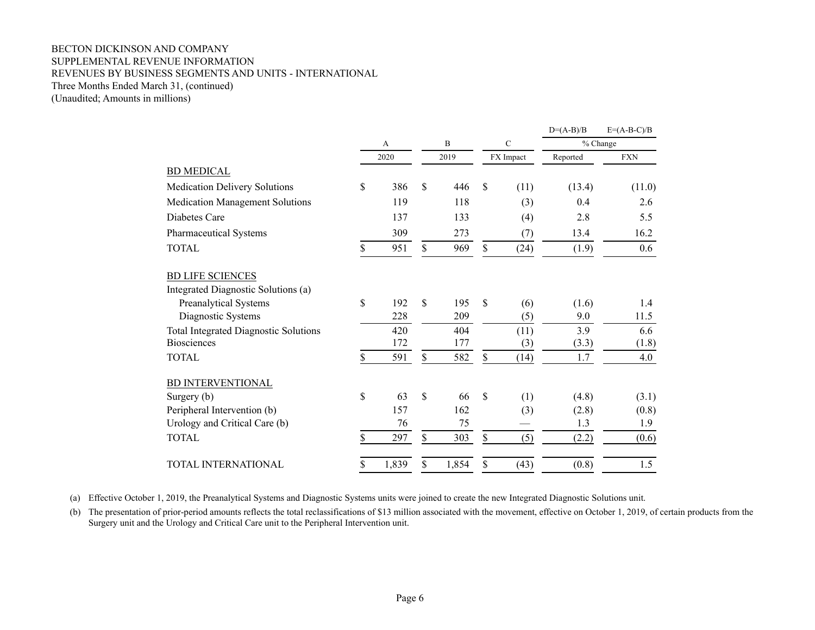### BECTON DICKINSON AND COMPANY SUPPLEMENTAL REVENUE INFORMATION REVENUES BY BUSINESS SEGMENTS AND UNITS - INTERNATIONAL Three Months Ended March 31, (continued) (Unaudited; Amounts in millions)

|                                        |             |             |             | $D=(A-B)/B$ | $E=(A-B-C)/B$ |
|----------------------------------------|-------------|-------------|-------------|-------------|---------------|
|                                        | A           | B           | $\mathbf C$ |             | % Change      |
|                                        | 2020        | 2019        | FX Impact   | Reported    | <b>FXN</b>    |
| <b>BD MEDICAL</b>                      |             |             |             |             |               |
| <b>Medication Delivery Solutions</b>   | \$<br>386   | \$<br>446   | \$<br>(11)  | (13.4)      | (11.0)        |
| <b>Medication Management Solutions</b> | 119         | 118         | (3)         | 0.4         | 2.6           |
| Diabetes Care                          | 137         | 133         | (4)         | 2.8         | 5.5           |
| Pharmaceutical Systems                 | 309         | 273         | (7)         | 13.4        | 16.2          |
| <b>TOTAL</b>                           | \$<br>951   | \$<br>969   | \$<br>(24)  | (1.9)       | 0.6           |
| <b>BD LIFE SCIENCES</b>                |             |             |             |             |               |
| Integrated Diagnostic Solutions (a)    |             |             |             |             |               |
| Preanalytical Systems                  | \$<br>192   | \$<br>195   | \$<br>(6)   | (1.6)       | 1.4           |
| Diagnostic Systems                     | 228         | 209         | (5)         | 9.0         | 11.5          |
| Total Integrated Diagnostic Solutions  | 420         | 404         | (11)        | 3.9         | 6.6           |
| <b>Biosciences</b>                     | 172         | 177         | (3)         | (3.3)       | (1.8)         |
| <b>TOTAL</b>                           | \$<br>591   | \$<br>582   | \$<br>(14)  | 1.7         | 4.0           |
| <b>BD INTERVENTIONAL</b>               |             |             |             |             |               |
| Surgery (b)                            | \$<br>63    | \$<br>66    | \$<br>(1)   | (4.8)       | (3.1)         |
| Peripheral Intervention (b)            | 157         | 162         | (3)         | (2.8)       | (0.8)         |
| Urology and Critical Care (b)          | 76          | 75          |             | 1.3         | 1.9           |
| <b>TOTAL</b>                           | \$<br>297   | \$<br>303   | \$<br>(5)   | (2.2)       | (0.6)         |
| TOTAL INTERNATIONAL                    | \$<br>1,839 | \$<br>1,854 | \$<br>(43)  | (0.8)       | 1.5           |

(a) Effective October 1, 2019, the Preanalytical Systems and Diagnostic Systems units were joined to create the new Integrated Diagnostic Solutions unit.

(b) The presentation of prior-period amounts reflects the total reclassifications of \$13 million associated with the movement, effective on October 1, 2019, of certain products from the Surgery unit and the Urology and Critical Care unit to the Peripheral Intervention unit.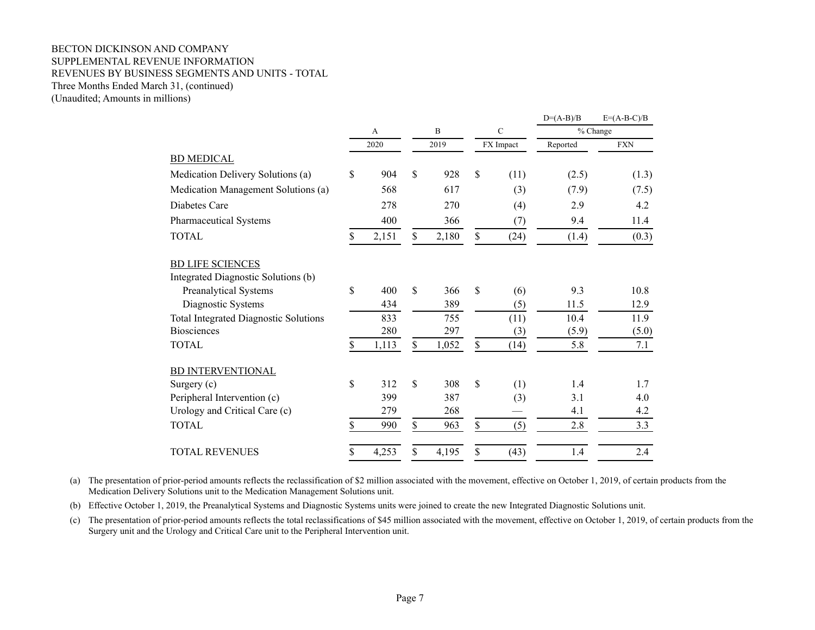### BECTON DICKINSON AND COMPANY SUPPLEMENTAL REVENUE INFORMATION REVENUES BY BUSINESS SEGMENTS AND UNITS - TOTAL Three Months Ended March 31, (continued) (Unaudited; Amounts in millions)

|                                       |             |          |       |              | $D=(A-B)/B$ | $E=(A-B-C)/B$ |            |
|---------------------------------------|-------------|----------|-------|--------------|-------------|---------------|------------|
|                                       | A           | $\bf{B}$ |       |              | $\mathbf C$ |               | % Change   |
|                                       | 2020        |          | 2019  |              | FX Impact   | Reported      | <b>FXN</b> |
| <b>BD MEDICAL</b>                     |             |          |       |              |             |               |            |
| Medication Delivery Solutions (a)     | \$<br>904   | \$       | 928   | \$           | (11)        | (2.5)         | (1.3)      |
| Medication Management Solutions (a)   | 568         |          | 617   |              | (3)         | (7.9)         | (7.5)      |
| Diabetes Care                         | 278         |          | 270   |              | (4)         | 2.9           | 4.2        |
| Pharmaceutical Systems                | 400         |          | 366   |              | (7)         | 9.4           | 11.4       |
| <b>TOTAL</b>                          | \$<br>2,151 | \$       | 2,180 | \$           | (24)        | (1.4)         | (0.3)      |
| <b>BD LIFE SCIENCES</b>               |             |          |       |              |             |               |            |
| Integrated Diagnostic Solutions (b)   |             |          |       |              |             |               |            |
| Preanalytical Systems                 | \$<br>400   | \$       | 366   | $\mathbb{S}$ | (6)         | 9.3           | 10.8       |
| Diagnostic Systems                    | 434         |          | 389   |              | (5)         | 11.5          | 12.9       |
| Total Integrated Diagnostic Solutions | 833         |          | 755   |              | (11)        | 10.4          | 11.9       |
| <b>Biosciences</b>                    | 280         |          | 297   |              | (3)         | (5.9)         | (5.0)      |
| <b>TOTAL</b>                          | \$<br>1,113 | \$       | 1,052 | \$           | (14)        | 5.8           | 7.1        |
| <b>BD INTERVENTIONAL</b>              |             |          |       |              |             |               |            |
| Surgery $(c)$                         | \$<br>312   | \$       | 308   | $\mathbb{S}$ | (1)         | 1.4           | 1.7        |
| Peripheral Intervention (c)           | 399         |          | 387   |              | (3)         | 3.1           | 4.0        |
| Urology and Critical Care (c)         | 279         |          | 268   |              |             | 4.1           | 4.2        |
| <b>TOTAL</b>                          | 990         | \$       | 963   | \$           | (5)         | 2.8           | 3.3        |
| <b>TOTAL REVENUES</b>                 | \$<br>4,253 | \$       | 4,195 | \$           | (43)        | 1.4           | 2.4        |

(a) The presentation of prior-period amounts reflects the reclassification of \$2 million associated with the movement, effective on October 1, 2019, of certain products from the Medication Delivery Solutions unit to the Medication Management Solutions unit.

(b) Effective October 1, 2019, the Preanalytical Systems and Diagnostic Systems units were joined to create the new Integrated Diagnostic Solutions unit.

(c) The presentation of prior-period amounts reflects the total reclassifications of \$45 million associated with the movement, effective on October 1, 2019, of certain products from the Surgery unit and the Urology and Critical Care unit to the Peripheral Intervention unit.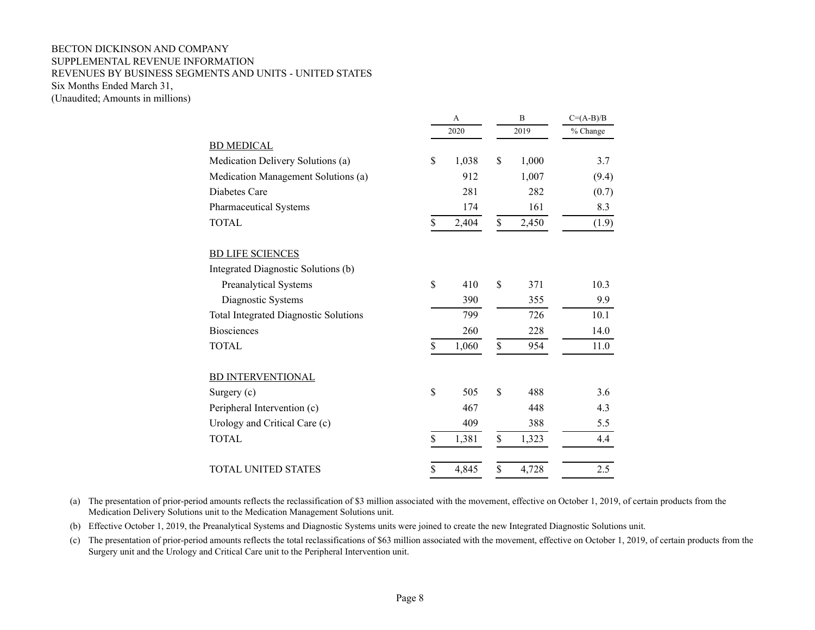### BECTON DICKINSON AND COMPANY SUPPLEMENTAL REVENUE INFORMATION REVENUES BY BUSINESS SEGMENTS AND UNITS - UNITED STATES Six Months Ended March 31, (Unaudited; Amounts in millions)

|                                       |             | A     | B           | $C=(A-B)/B$ |
|---------------------------------------|-------------|-------|-------------|-------------|
|                                       |             | 2020  | 2019        | % Change    |
| <b>BD MEDICAL</b>                     |             |       |             |             |
| Medication Delivery Solutions (a)     | \$          | 1,038 | \$<br>1,000 | 3.7         |
| Medication Management Solutions (a)   |             | 912   | 1,007       | (9.4)       |
| Diabetes Care                         |             | 281   | 282         | (0.7)       |
| Pharmaceutical Systems                |             | 174   | 161         | 8.3         |
| <b>TOTAL</b>                          | $\mathbf S$ | 2,404 | \$<br>2,450 | (1.9)       |
| <b>BD LIFE SCIENCES</b>               |             |       |             |             |
| Integrated Diagnostic Solutions (b)   |             |       |             |             |
| Preanalytical Systems                 | \$          | 410   | \$<br>371   | 10.3        |
| Diagnostic Systems                    |             | 390   | 355         | 9.9         |
| Total Integrated Diagnostic Solutions |             | 799   | 726         | 10.1        |
| <b>Biosciences</b>                    |             | 260   | 228         | 14.0        |
| <b>TOTAL</b>                          | \$          | 1,060 | \$<br>954   | 11.0        |
| <b>BD INTERVENTIONAL</b>              |             |       |             |             |
| Surgery (c)                           | \$          | 505   | \$<br>488   | 3.6         |
| Peripheral Intervention (c)           |             | 467   | 448         | 4.3         |
| Urology and Critical Care (c)         |             | 409   | 388         | 5.5         |
| <b>TOTAL</b>                          | \$          | 1,381 | \$<br>1,323 | 4.4         |
| <b>TOTAL UNITED STATES</b>            | \$          | 4,845 | \$<br>4,728 | 2.5         |

(a) The presentation of prior-period amounts reflects the reclassification of \$3 million associated with the movement, effective on October 1, 2019, of certain products from the Medication Delivery Solutions unit to the Medication Management Solutions unit.

(b) Effective October 1, 2019, the Preanalytical Systems and Diagnostic Systems units were joined to create the new Integrated Diagnostic Solutions unit.

(c) The presentation of prior-period amounts reflects the total reclassifications of \$63 million associated with the movement, effective on October 1, 2019, of certain products from the Surgery unit and the Urology and Critical Care unit to the Peripheral Intervention unit.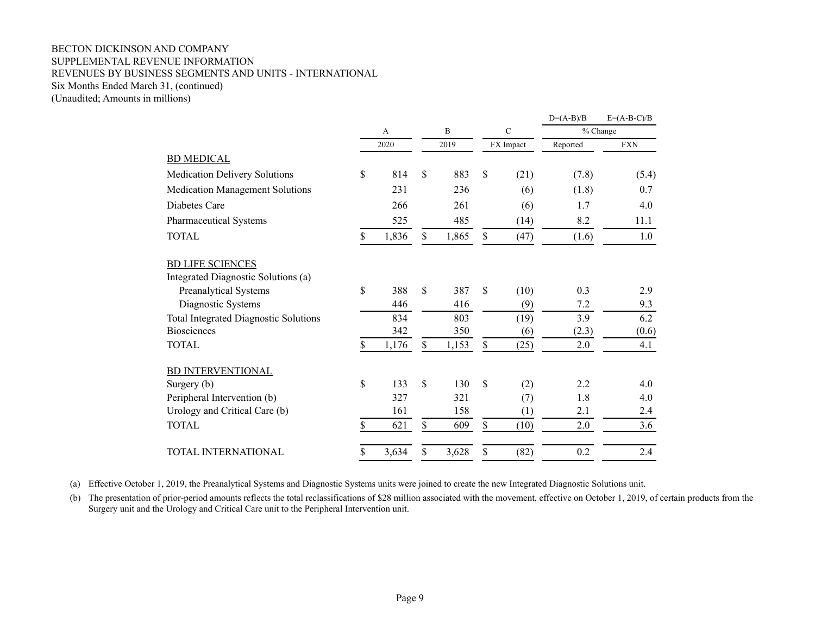### BECTON DICKINSON AND COMPANY SUPPLEMENTAL REVENUE INFORMATION REVENUES BY BUSINESS SEGMENTS AND UNITS - INTERNATIONAL Six Months Ended March 31, (continued) (Unaudited; Amounts in millions)

|                                              |             |              |              |             | $D=(A-B)/B$ | $E=(A-B-C)/B$ |
|----------------------------------------------|-------------|--------------|--------------|-------------|-------------|---------------|
|                                              | A           | $\, {\bf B}$ |              | $\mathbf C$ |             | % Change      |
|                                              | 2020        | 2019         |              | FX Impact   | Reported    | <b>FXN</b>    |
| <b>BD MEDICAL</b>                            |             |              |              |             |             |               |
| <b>Medication Delivery Solutions</b>         | \$<br>814   | \$<br>883    | $\mathbb{S}$ | (21)        | (7.8)       | (5.4)         |
| <b>Medication Management Solutions</b>       | 231         | 236          |              | (6)         | (1.8)       | 0.7           |
| Diabetes Care                                | 266         | 261          |              | (6)         | 1.7         | 4.0           |
| Pharmaceutical Systems                       | 525         | 485          |              | (14)        | 8.2         | 11.1          |
| <b>TOTAL</b>                                 | \$<br>1,836 | \$<br>1,865  | \$           | (47)        | (1.6)       | 1.0           |
| <b>BD LIFE SCIENCES</b>                      |             |              |              |             |             |               |
| Integrated Diagnostic Solutions (a)          |             |              |              |             |             |               |
| Preanalytical Systems                        | \$<br>388   | \$<br>387    | $\mathbb{S}$ | (10)        | 0.3         | 2.9           |
| Diagnostic Systems                           | 446         | 416          |              | (9)         | 7.2         | 9.3           |
| <b>Total Integrated Diagnostic Solutions</b> | 834         | 803          |              | (19)        | 3.9         | 6.2           |
| <b>Biosciences</b>                           | 342         | 350          |              | (6)         | (2.3)       | (0.6)         |
| <b>TOTAL</b>                                 | \$<br>1,176 | \$<br>1,153  | \$           | (25)        | 2.0         | 4.1           |
| BD INTERVENTIONAL                            |             |              |              |             |             |               |
| Surgery (b)                                  | \$<br>133   | \$<br>130    | \$           | (2)         | 2.2         | 4.0           |
| Peripheral Intervention (b)                  | 327         | 321          |              | (7)         | 1.8         | 4.0           |
| Urology and Critical Care (b)                | 161         | 158          |              | (1)         | 2.1         | 2.4           |
| <b>TOTAL</b>                                 | \$<br>621   | \$<br>609    | \$           | (10)        | 2.0         | 3.6           |
| TOTAL INTERNATIONAL                          | \$<br>3,634 | \$<br>3,628  | \$           | (82)        | 0.2         | 2.4           |

(a) Effective October 1, 2019, the Preanalytical Systems and Diagnostic Systems units were joined to create the new Integrated Diagnostic Solutions unit.

(b) The presentation of prior-period amounts reflects the total reclassifications of \$28 million associated with the movement, effective on October 1, 2019, of certain products from the Surgery unit and the Urology and Critical Care unit to the Peripheral Intervention unit.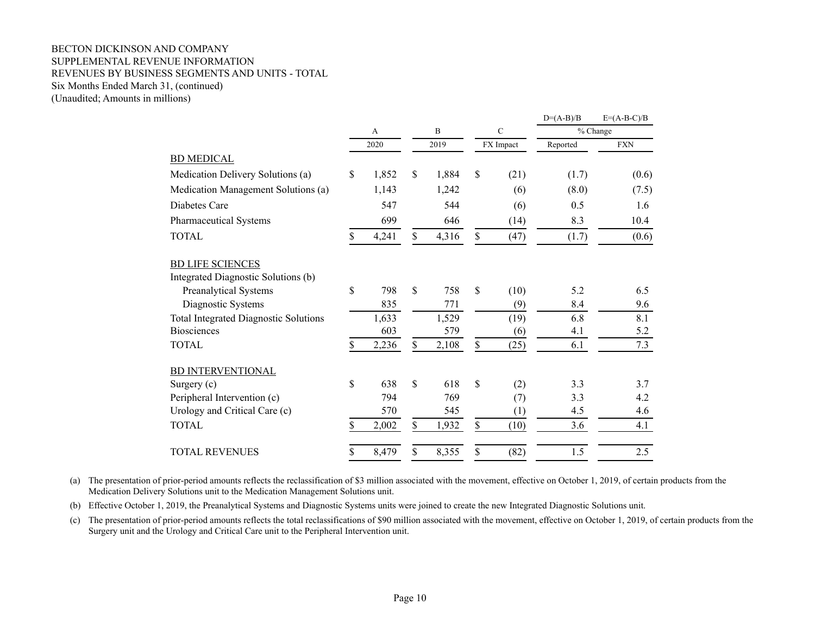### BECTON DICKINSON AND COMPANY SUPPLEMENTAL REVENUE INFORMATION REVENUES BY BUSINESS SEGMENTS AND UNITS - TOTAL Six Months Ended March 31, (continued) (Unaudited; Amounts in millions)

|                                       |              |       |               |       |             | $D=(A-B)/B$ | $E=(A-B-C)/B$ |
|---------------------------------------|--------------|-------|---------------|-------|-------------|-------------|---------------|
|                                       |              | A     |               | B     | $\mathbf C$ |             | % Change      |
|                                       |              | 2020  |               | 2019  | FX Impact   | Reported    | <b>FXN</b>    |
| <b>BD MEDICAL</b>                     |              |       |               |       |             |             |               |
| Medication Delivery Solutions (a)     | $\mathbb{S}$ | 1,852 | \$            | 1,884 | \$<br>(21)  | (1.7)       | (0.6)         |
| Medication Management Solutions (a)   |              | 1,143 |               | 1,242 | (6)         | (8.0)       | (7.5)         |
| Diabetes Care                         |              | 547   |               | 544   | (6)         | 0.5         | 1.6           |
| Pharmaceutical Systems                |              | 699   |               | 646   | (14)        | 8.3         | 10.4          |
| <b>TOTAL</b>                          | \$           | 4,241 | $\mathcal{S}$ | 4,316 | \$<br>(47)  | (1.7)       | (0.6)         |
| <b>BD LIFE SCIENCES</b>               |              |       |               |       |             |             |               |
| Integrated Diagnostic Solutions (b)   |              |       |               |       |             |             |               |
| Preanalytical Systems                 | \$           | 798   | \$            | 758   | \$<br>(10)  | 5.2         | 6.5           |
| Diagnostic Systems                    |              | 835   |               | 771   | (9)         | 8.4         | 9.6           |
| Total Integrated Diagnostic Solutions |              | 1,633 |               | 1,529 | (19)        | 6.8         | 8.1           |
| <b>Biosciences</b>                    |              | 603   |               | 579   | (6)         | 4.1         | 5.2           |
| <b>TOTAL</b>                          | S            | 2,236 | \$            | 2,108 | \$<br>(25)  | 6.1         | 7.3           |
| BD INTERVENTIONAL                     |              |       |               |       |             |             |               |
| Surgery $(c)$                         | $\mathbb{S}$ | 638   | \$            | 618   | \$<br>(2)   | 3.3         | 3.7           |
| Peripheral Intervention (c)           |              | 794   |               | 769   | (7)         | 3.3         | 4.2           |
| Urology and Critical Care (c)         |              | 570   |               | 545   | (1)         | 4.5         | 4.6           |
| <b>TOTAL</b>                          | \$           | 2,002 | \$            | 1,932 | \$<br>(10)  | 3.6         | 4.1           |
| <b>TOTAL REVENUES</b>                 | \$           | 8,479 | \$            | 8,355 | \$<br>(82)  | 1.5         | 2.5           |

(a) The presentation of prior-period amounts reflects the reclassification of \$3 million associated with the movement, effective on October 1, 2019, of certain products from the Medication Delivery Solutions unit to the Medication Management Solutions unit.

(b) Effective October 1, 2019, the Preanalytical Systems and Diagnostic Systems units were joined to create the new Integrated Diagnostic Solutions unit.

(c) The presentation of prior-period amounts reflects the total reclassifications of \$90 million associated with the movement, effective on October 1, 2019, of certain products from the Surgery unit and the Urology and Critical Care unit to the Peripheral Intervention unit.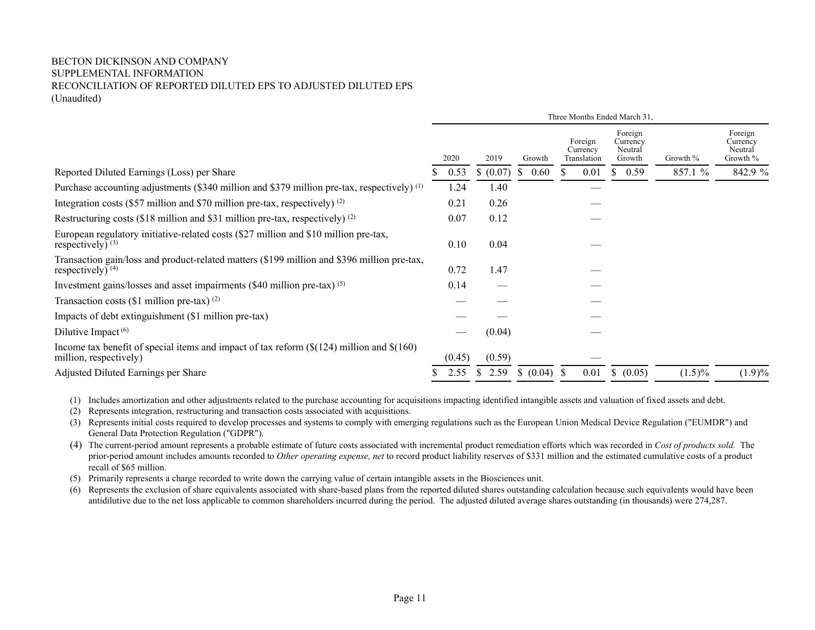### BECTON DICKINSON AND COMPANY SUPPLEMENTAL INFORMATION RECONCILIATION OF REPORTED DILUTED EPS TO ADJUSTED DILUTED EPS (Unaudited)

|                                                                                                                        | Three Months Ended March 31, |        |                |                      |              |                                    |  |                                          |           |                                            |  |
|------------------------------------------------------------------------------------------------------------------------|------------------------------|--------|----------------|----------------------|--------------|------------------------------------|--|------------------------------------------|-----------|--------------------------------------------|--|
|                                                                                                                        | 2020                         |        | 2019<br>Growth |                      |              | Foreign<br>Currency<br>Translation |  | Foreign<br>Currency<br>Neutral<br>Growth | Growth %  | Foreign<br>Currency<br>Neutral<br>Growth % |  |
| Reported Diluted Earnings (Loss) per Share                                                                             |                              | 0.53   | \$ (0.07)      | <sup>S</sup><br>0.60 |              | 0.01                               |  | 0.59                                     | 857.1 %   | 842.9 %                                    |  |
| Purchase accounting adjustments (\$340 million and \$379 million pre-tax, respectively) <sup>(1)</sup>                 |                              | 1.24   | 1.40           |                      |              |                                    |  |                                          |           |                                            |  |
| Integration costs (\$57 million and \$70 million pre-tax, respectively) $(2)$                                          |                              | 0.21   | 0.26           |                      |              |                                    |  |                                          |           |                                            |  |
| Restructuring costs (\$18 million and \$31 million pre-tax, respectively) $(2)$                                        |                              | 0.07   | 0.12           |                      |              |                                    |  |                                          |           |                                            |  |
| European regulatory initiative-related costs (\$27 million and \$10 million pre-tax,<br>respectively) $(3)$            |                              | 0.10   | 0.04           |                      |              |                                    |  |                                          |           |                                            |  |
| Transaction gain/loss and product-related matters (\$199 million and \$396 million pre-tax,<br>respectively) $(4)$     |                              | 0.72   | 1.47           |                      |              |                                    |  |                                          |           |                                            |  |
| Investment gains/losses and asset impairments (\$40 million pre-tax) (5)                                               |                              | 0.14   |                |                      |              |                                    |  |                                          |           |                                            |  |
| Transaction costs (\$1 million pre-tax) $(2)$                                                                          |                              |        |                |                      |              |                                    |  |                                          |           |                                            |  |
| Impacts of debt extinguishment (\$1 million pre-tax)                                                                   |                              |        |                |                      |              |                                    |  |                                          |           |                                            |  |
| Dilutive Impact <sup>(6)</sup>                                                                                         |                              |        | (0.04)         |                      |              |                                    |  |                                          |           |                                            |  |
| Income tax benefit of special items and impact of tax reform $(\$(124)$ million and $$(160)$<br>million, respectively) |                              | (0.45) | (0.59)         |                      |              |                                    |  |                                          |           |                                            |  |
| Adjusted Diluted Earnings per Share                                                                                    |                              | 2.55   | 2.59           | \$ (0.04)            | <sup>S</sup> | 0.01                               |  | \$ (0.05)                                | $(1.5)\%$ | (1.9)%                                     |  |

- (1) Includes amortization and other adjustments related to the purchase accounting for acquisitions impacting identified intangible assets and valuation of fixed assets and debt.
- (2) Represents integration, restructuring and transaction costs associated with acquisitions.

(3) Represents initial costs required to develop processes and systems to comply with emerging regulations such as the European Union Medical Device Regulation ("EUMDR") and General Data Protection Regulation ("GDPR").

(4) The current-period amount represents a probable estimate of future costs associated with incremental product remediation efforts which was recorded in *Cost of products sold.* The prior-period amount includes amounts recorded to *Other operating expense, net* to record product liability reserves of \$331 million and the estimated cumulative costs of a product recall of \$65 million.

(5) Primarily represents a charge recorded to write down the carrying value of certain intangible assets in the Biosciences unit.

(6) Represents the exclusion of share equivalents associated with share-based plans from the reported diluted shares outstanding calculation because such equivalents would have been antidilutive due to the net loss applicable to common shareholders incurred during the period. The adjusted diluted average shares outstanding (in thousands) were 274,287.